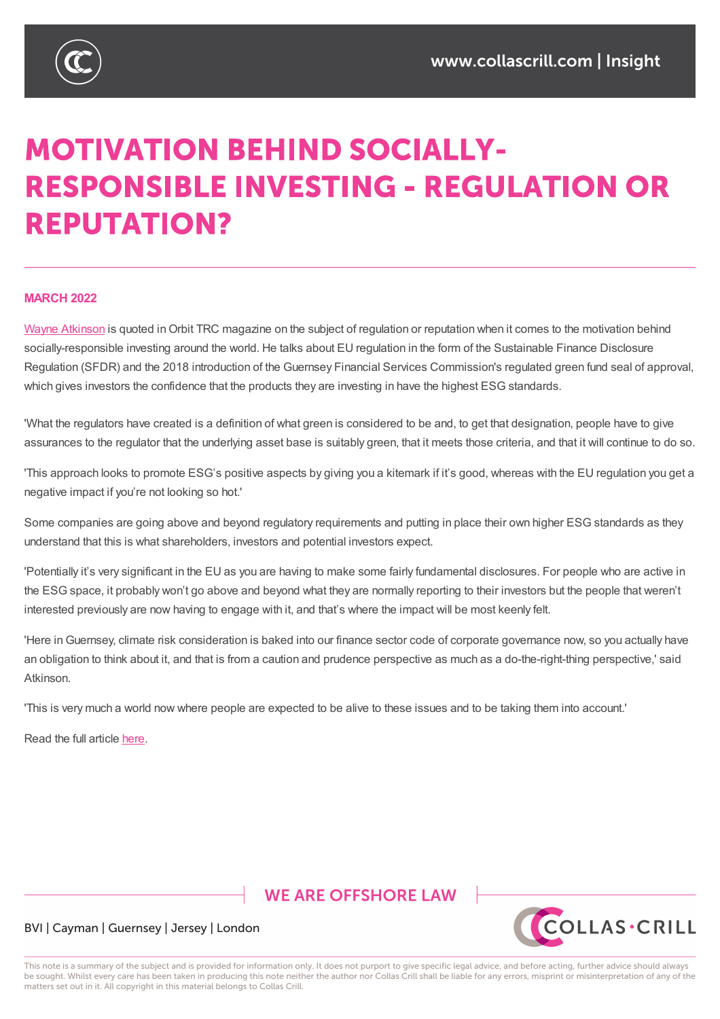

# **MOTIVATION BEHIND SOCIALLY-RESPONSIBLE INVESTING - REGULATION OR REPUTATION?**

#### **MARCH 2022**

Wayne Atkinson is quoted in Orbit TRC magazine on the subject of regulation or reputation when it comes to the motivation behind socially-responsible investing around the world. He talks about EU regulation in the form of the Sustainable Finance Disclosure Regulation (SFDR) and the 2018 introduction of the Guernsey Financial Services Commission's regulated green fund seal of approval, [which](https://www.collascrill.com/who-we-are/a/wayne-atkinson/) gives investors the confidence that the products they are investing in have the highest ESG standards.

'What the regulators have created is a definition of what green is considered to be and, to get that designation, people have to give assurances to the regulator that the underlying asset base is suitably green, that it meets those criteria, and that it will continue to do so.

'This approach looks to promote ESG's positive aspects by giving you a kitemark if it's good, whereas with the EU regulation you get a negative impact if you're not looking so hot.'

Some companies are going above and beyond regulatory requirements and putting in place their own higher ESG standards as they understand that this is what shareholders, investors and potential investors expect.

'Potentially it's very significant in the EU as you are having to make some fairly fundamental disclosures. For people who are active in the ESG space, it probably won't go above and beyond what they are normally reporting to their investors but the people that weren't interested previously are now having to engage with it, and that's where the impact will be most keenly felt.

'Here inGuernsey, climate risk consideration is baked into our finance sector code of corporate governance now, so you actually have an obligation to think about it, and that is from a caution and prudence perspective as much as a do-the-right-thing perspective,' said Atkinson.

'This is very much a world now where people are expected to be alive to these issues and to be taking them into account.'

Read the full article here.

### **WE ARE OFFSHORE LAW**



#### BVI | Cayman | Guernsey | Jersey | London

This note is a summary of the subject and is provided for information only. It does not purport to give specific legal advice, and before acting, further advice should always be sought. Whilst every care has been taken in producing this note neither the author nor Collas Crill shall be liable for any errors, misprint or misinterpretation of any of the matters set out in it. All copyright in this material belongs to Collas Crill.